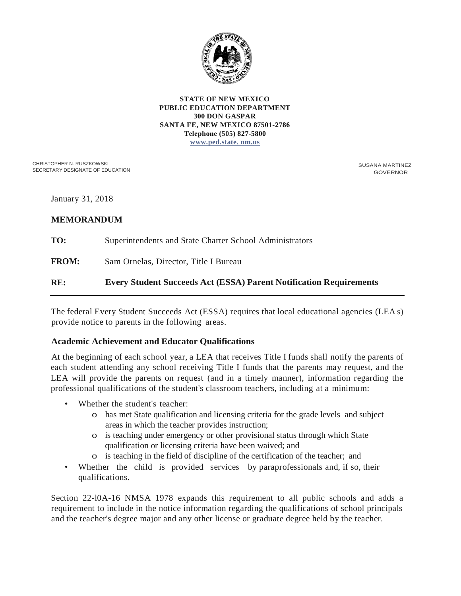

#### **STATE OF NEW MEXICO PUBLIC EDUCATION DEPARTMENT 300 DON GASPAR SANTA FE, NEW MEXICO 87501-2786 Telephone (505) 827-5800 [www.ped.state. nm.us](http://www.ped.state.nm.us/)**

CHRISTOPHER N. RUSZKOWSKI SECRETARY DESIGNATE OF EDUCATION SUSANA MARTINEZ GOVERNOR

January 31, 2018

# **MEMORANDUM**

**TO: FROM: RE:** Superintendents and State Charter School Administrators Sam Ornelas, Director, Title I Bureau **Every Student Succeeds Act (ESSA) Parent Notification Requirements**

The federal Every Student Succeeds Act (ESSA) requires that local educational agencies (LEA s) provide notice to parents in the following areas.

## **Academic Achievement and Educator Qualifications**

At the beginning of each school year, a LEA that receives Title I funds shall notify the parents of each student attending any school receiving Title I funds that the parents may request, and the LEA will provide the parents on request (and in a timely manner), information regarding the professional qualifications of the student's classroom teachers, including at a minimum:

- Whether the student's teacher:
	- o has met State qualification and licensing criteria for the grade levels and subject areas in which the teacher provides instruction;
	- o is teaching under emergency or other provisional status through which State qualification or licensing criteria have been waived; and
	- o is teaching in the field of discipline of the certification of the teacher; and
- Whether the child is provided services by paraprofessionals and, if so, their qualifications.

Section 22-l0A-16 NMSA 1978 expands this requirement to all public schools and adds a requirement to include in the notice information regarding the qualifications of school principals and the teacher's degree major and any other license or graduate degree held by the teacher.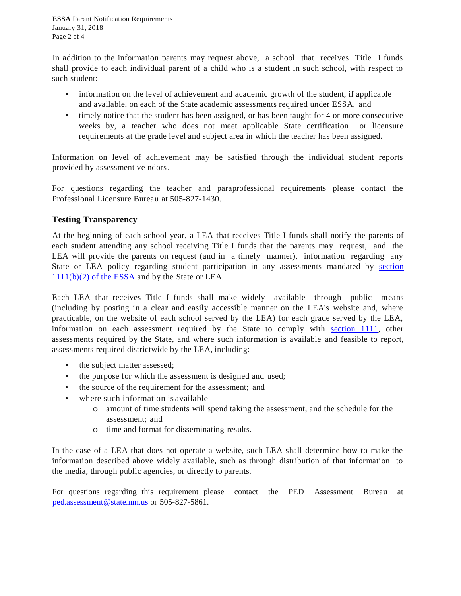**ESSA** Parent Notification Requirements January 31, 2018 Page 2 of 4

In addition to the information parents may request above, a school that receives Title I funds shall provide to each individual parent of a child who is a student in such school, with respect to such student:

- information on the level of achievement and academic growth of the student, if applicable and available, on each of the State academic assessments required under ESSA, and
- timely notice that the student has been assigned, or has been taught for 4 or more consecutive weeks by, a teacher who does not meet applicable State certification or licensure requirements at the grade level and subject area in which the teacher has been assigned.

Information on level of achievement may be satisfied through the individual student reports provided by assessment ve ndors.

For questions regarding the teacher and paraprofessional requirements please contact the Professional Licensure Bureau at 505-827-1430.

## **Testing Transparency**

At the beginning of each school year, a LEA that receives Title I funds shall notify the parents of each student attending any school receiving Title I funds that the parents may request, and the LEA will provide the parents on request (and in a timely manner), information regarding any State or LEA policy regarding student participation in any assessments mandated by [section](https://www2.ed.gov/policy/elsec/leg/esea02/pg2.html)  [1111\(b\)\(2\) of the ESSA](https://www2.ed.gov/policy/elsec/leg/esea02/pg2.html) and by the State or LEA.

Each LEA that receives Title I funds shall make widely available through public means (including by posting in a clear and easily accessible manner on the LEA's website and, where practicable, on the website of each school served by the LEA) for each grade served by the LEA, information on each assessment required by the State to comply with [section 1111,](https://www2.ed.gov/policy/elsec/leg/esea02/pg2.html) other assessments required by the State, and where such information is available and feasible to report, assessments required districtwide by the LEA, including:

- the subject matter assessed;
- the purpose for which the assessment is designed and used;
- the source of the requirement for the assessment; and
- where such information is available
	- o amount of time students will spend taking the assessment, and the schedule for the assessment; and
	- o time and format for disseminating results.

In the case of a LEA that does not operate a website, such LEA shall determine how to make the information described above widely available, such as through distribution of that information to the media, through public agencies, or directly to parents.

For questions regarding this requirement please contact the PED Assessment Bureau at <ped.assessment@state.nm.us> or 505-827-5861.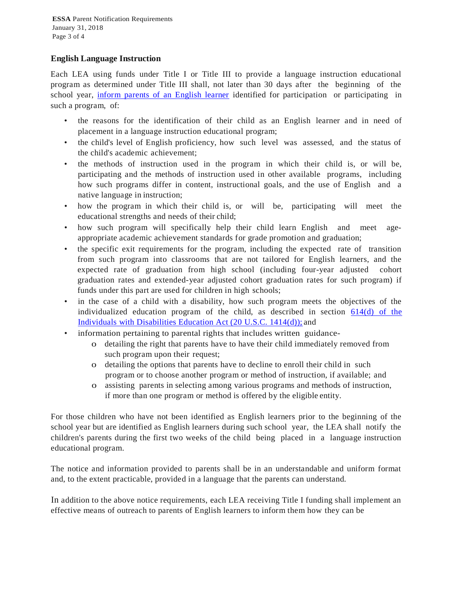#### **English Language Instruction**

Each LEA using funds under Title I or Title III to provide a language instruction educational program as determined under Title III shall, not later than 30 days after the beginning of the school year, [inform parents of an English learner](http://webnew.ped.state.nm.us/wp-content/uploads/2017/12/Parent_Notification_Letter_Sample-Revised_08.2017.docx) identified for participation or participating in such a program, of:

- the reasons for the identification of their child as an English learner and in need of placement in a language instruction educational program;
- the child's level of English proficiency, how such level was assessed, and the status of the child's academic achievement;
- the methods of instruction used in the program in which their child is, or will be, participating and the methods of instruction used in other available programs, including how such programs differ in content, instructional goals, and the use of English and a native language in instruction;
- how the program in which their child is, or will be, participating will meet the educational strengths and needs of their child;
- how such program will specifically help their child learn English and meet ageappropriate academic achievement standards for grade promotion and graduation;
- the specific exit requirements for the program, including the expected rate of transition from such program into classrooms that are not tailored for English learners, and the expected rate of graduation from high school (including four-year adjusted cohort graduation rates and extended-year adjusted cohort graduation rates for such program) if funds under this part are used for children in high schools;
- in the case of a child with a disability, how such program meets the objectives of the individualized education program of the child, as described in section [614\(d\) of the](https://sites.ed.gov/idea/statuteregulations/)  [Individuals with Disabilities Education Act \(20 U.S.C. 1414\(d\)\);](https://sites.ed.gov/idea/statuteregulations/) and
- information pertaining to parental rights that includes written guidance
	- o detailing the right that parents have to have their child immediately removed from such program upon their request;
	- o detailing the options that parents have to decline to enroll their child in such program or to choose another program or method of instruction, if available; and
	- o assisting parents in selecting among various programs and methods of instruction, if more than one program or method is offered by the eligible entity.

For those children who have not been identified as English learners prior to the beginning of the school year but are identified as English learners during such school year, the LEA shall notify the children's parents during the first two weeks of the child being placed in a language instruction educational program.

The notice and information provided to parents shall be in an understandable and uniform format and, to the extent practicable, provided in a language that the parents can understand.

In addition to the above notice requirements, each LEA receiving Title I funding shall implement an effective means of outreach to parents of English learners to inform them how they can be